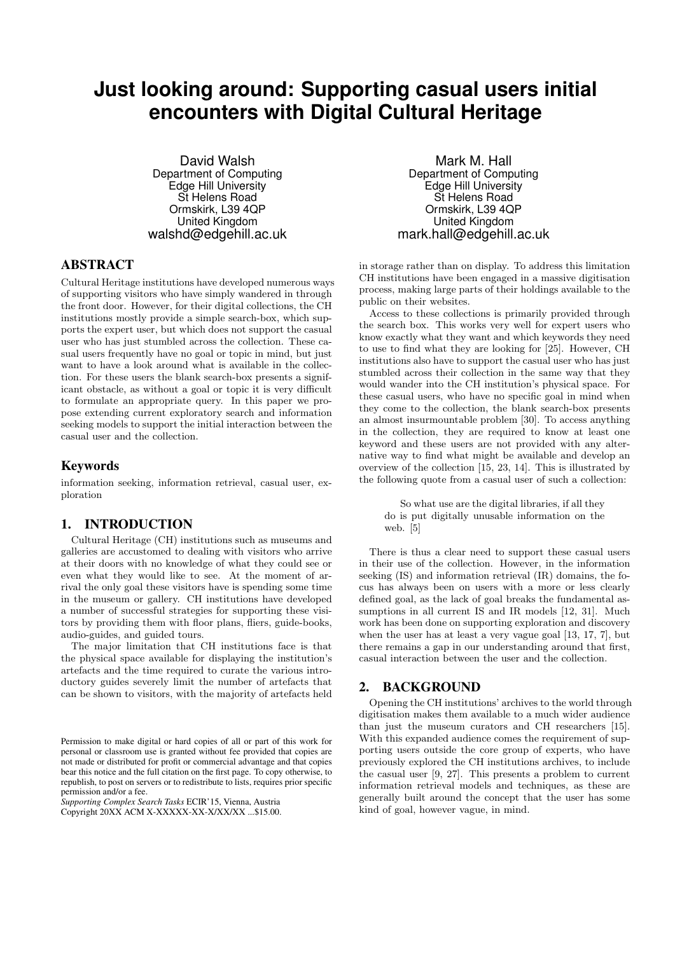# **Just looking around: Supporting casual users initial encounters with Digital Cultural Heritage**

David Walsh Department of Computing Edge Hill University St Helens Road Ormskirk, L39 4QP United Kingdom walshd@edgehill.ac.uk

# ABSTRACT

Cultural Heritage institutions have developed numerous ways of supporting visitors who have simply wandered in through the front door. However, for their digital collections, the CH institutions mostly provide a simple search-box, which supports the expert user, but which does not support the casual user who has just stumbled across the collection. These casual users frequently have no goal or topic in mind, but just want to have a look around what is available in the collection. For these users the blank search-box presents a significant obstacle, as without a goal or topic it is very difficult to formulate an appropriate query. In this paper we propose extending current exploratory search and information seeking models to support the initial interaction between the casual user and the collection.

## Keywords

information seeking, information retrieval, casual user, exploration

## 1. INTRODUCTION

Cultural Heritage (CH) institutions such as museums and galleries are accustomed to dealing with visitors who arrive at their doors with no knowledge of what they could see or even what they would like to see. At the moment of arrival the only goal these visitors have is spending some time in the museum or gallery. CH institutions have developed a number of successful strategies for supporting these visitors by providing them with floor plans, fliers, guide-books, audio-guides, and guided tours.

The major limitation that CH institutions face is that the physical space available for displaying the institution's artefacts and the time required to curate the various introductory guides severely limit the number of artefacts that can be shown to visitors, with the majority of artefacts held

*Supporting Complex Search Tasks* ECIR'15, Vienna, Austria Copyright 20XX ACM X-XXXXX-XX-X/XX/XX ...\$15.00.

Mark M. Hall Department of Computing Edge Hill University St Helens Road Ormskirk, L39 4QP United Kingdom mark.hall@edgehill.ac.uk

in storage rather than on display. To address this limitation CH institutions have been engaged in a massive digitisation process, making large parts of their holdings available to the public on their websites.

Access to these collections is primarily provided through the search box. This works very well for expert users who know exactly what they want and which keywords they need to use to find what they are looking for [25]. However, CH institutions also have to support the casual user who has just stumbled across their collection in the same way that they would wander into the CH institution's physical space. For these casual users, who have no specific goal in mind when they come to the collection, the blank search-box presents an almost insurmountable problem [30]. To access anything in the collection, they are required to know at least one keyword and these users are not provided with any alternative way to find what might be available and develop an overview of the collection [15, 23, 14]. This is illustrated by the following quote from a casual user of such a collection:

So what use are the digital libraries, if all they do is put digitally unusable information on the web. [5]

There is thus a clear need to support these casual users in their use of the collection. However, in the information seeking (IS) and information retrieval (IR) domains, the focus has always been on users with a more or less clearly defined goal, as the lack of goal breaks the fundamental assumptions in all current IS and IR models [12, 31]. Much work has been done on supporting exploration and discovery when the user has at least a very vague goal [13, 17, 7], but there remains a gap in our understanding around that first, casual interaction between the user and the collection.

## 2. BACKGROUND

Opening the CH institutions' archives to the world through digitisation makes them available to a much wider audience than just the museum curators and CH researchers [15]. With this expanded audience comes the requirement of supporting users outside the core group of experts, who have previously explored the CH institutions archives, to include the casual user [9, 27]. This presents a problem to current information retrieval models and techniques, as these are generally built around the concept that the user has some kind of goal, however vague, in mind.

Permission to make digital or hard copies of all or part of this work for personal or classroom use is granted without fee provided that copies are not made or distributed for profit or commercial advantage and that copies bear this notice and the full citation on the first page. To copy otherwise, to republish, to post on servers or to redistribute to lists, requires prior specific permission and/or a fee.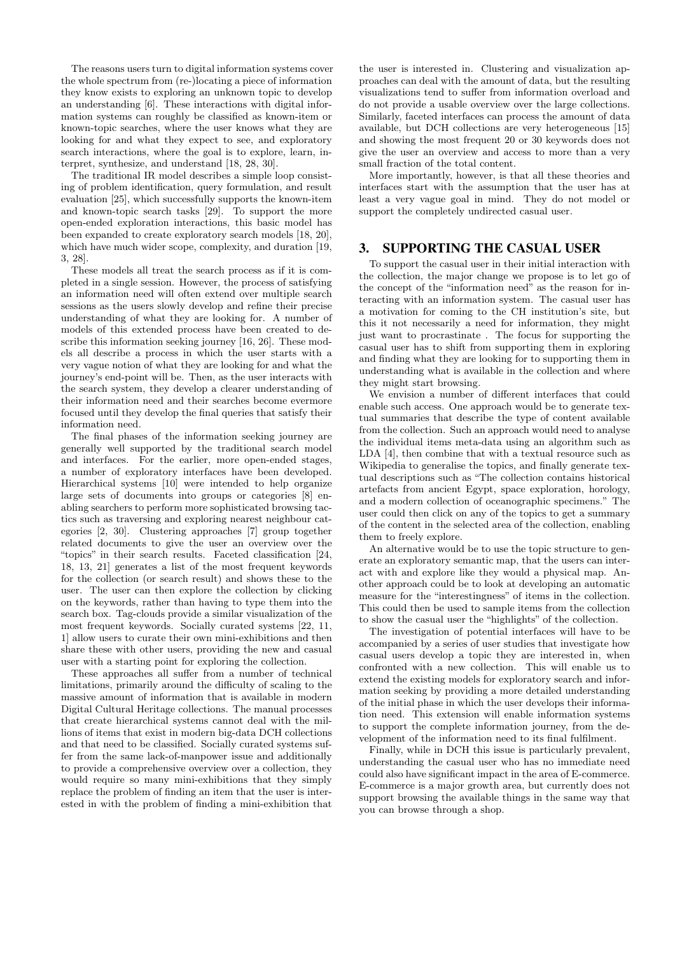The reasons users turn to digital information systems cover the whole spectrum from (re-)locating a piece of information they know exists to exploring an unknown topic to develop an understanding [6]. These interactions with digital information systems can roughly be classified as known-item or known-topic searches, where the user knows what they are looking for and what they expect to see, and exploratory search interactions, where the goal is to explore, learn, interpret, synthesize, and understand [18, 28, 30].

The traditional IR model describes a simple loop consisting of problem identification, query formulation, and result evaluation [25], which successfully supports the known-item and known-topic search tasks [29]. To support the more open-ended exploration interactions, this basic model has been expanded to create exploratory search models [18, 20], which have much wider scope, complexity, and duration [19, 3, 28].

These models all treat the search process as if it is completed in a single session. However, the process of satisfying an information need will often extend over multiple search sessions as the users slowly develop and refine their precise understanding of what they are looking for. A number of models of this extended process have been created to describe this information seeking journey [16, 26]. These models all describe a process in which the user starts with a very vague notion of what they are looking for and what the journey's end-point will be. Then, as the user interacts with the search system, they develop a clearer understanding of their information need and their searches become evermore focused until they develop the final queries that satisfy their information need.

The final phases of the information seeking journey are generally well supported by the traditional search model and interfaces. For the earlier, more open-ended stages, a number of exploratory interfaces have been developed. Hierarchical systems [10] were intended to help organize large sets of documents into groups or categories [8] enabling searchers to perform more sophisticated browsing tactics such as traversing and exploring nearest neighbour categories [2, 30]. Clustering approaches [7] group together related documents to give the user an overview over the "topics" in their search results. Faceted classification [24, 18, 13, 21] generates a list of the most frequent keywords for the collection (or search result) and shows these to the user. The user can then explore the collection by clicking on the keywords, rather than having to type them into the search box. Tag-clouds provide a similar visualization of the most frequent keywords. Socially curated systems [22, 11, 1] allow users to curate their own mini-exhibitions and then share these with other users, providing the new and casual user with a starting point for exploring the collection.

These approaches all suffer from a number of technical limitations, primarily around the difficulty of scaling to the massive amount of information that is available in modern Digital Cultural Heritage collections. The manual processes that create hierarchical systems cannot deal with the millions of items that exist in modern big-data DCH collections and that need to be classified. Socially curated systems suffer from the same lack-of-manpower issue and additionally to provide a comprehensive overview over a collection, they would require so many mini-exhibitions that they simply replace the problem of finding an item that the user is interested in with the problem of finding a mini-exhibition that

the user is interested in. Clustering and visualization approaches can deal with the amount of data, but the resulting visualizations tend to suffer from information overload and do not provide a usable overview over the large collections. Similarly, faceted interfaces can process the amount of data available, but DCH collections are very heterogeneous [15] and showing the most frequent 20 or 30 keywords does not give the user an overview and access to more than a very small fraction of the total content.

More importantly, however, is that all these theories and interfaces start with the assumption that the user has at least a very vague goal in mind. They do not model or support the completely undirected casual user.

#### 3. SUPPORTING THE CASUAL USER

To support the casual user in their initial interaction with the collection, the major change we propose is to let go of the concept of the "information need" as the reason for interacting with an information system. The casual user has a motivation for coming to the CH institution's site, but this it not necessarily a need for information, they might just want to procrastinate . The focus for supporting the casual user has to shift from supporting them in exploring and finding what they are looking for to supporting them in understanding what is available in the collection and where they might start browsing.

We envision a number of different interfaces that could enable such access. One approach would be to generate textual summaries that describe the type of content available from the collection. Such an approach would need to analyse the individual items meta-data using an algorithm such as LDA [4], then combine that with a textual resource such as Wikipedia to generalise the topics, and finally generate textual descriptions such as "The collection contains historical artefacts from ancient Egypt, space exploration, horology, and a modern collection of oceanographic specimens." The user could then click on any of the topics to get a summary of the content in the selected area of the collection, enabling them to freely explore.

An alternative would be to use the topic structure to generate an exploratory semantic map, that the users can interact with and explore like they would a physical map. Another approach could be to look at developing an automatic measure for the "interestingness" of items in the collection. This could then be used to sample items from the collection to show the casual user the "highlights" of the collection.

The investigation of potential interfaces will have to be accompanied by a series of user studies that investigate how casual users develop a topic they are interested in, when confronted with a new collection. This will enable us to extend the existing models for exploratory search and information seeking by providing a more detailed understanding of the initial phase in which the user develops their information need. This extension will enable information systems to support the complete information journey, from the development of the information need to its final fulfilment.

Finally, while in DCH this issue is particularly prevalent, understanding the casual user who has no immediate need could also have significant impact in the area of E-commerce. E-commerce is a major growth area, but currently does not support browsing the available things in the same way that you can browse through a shop.